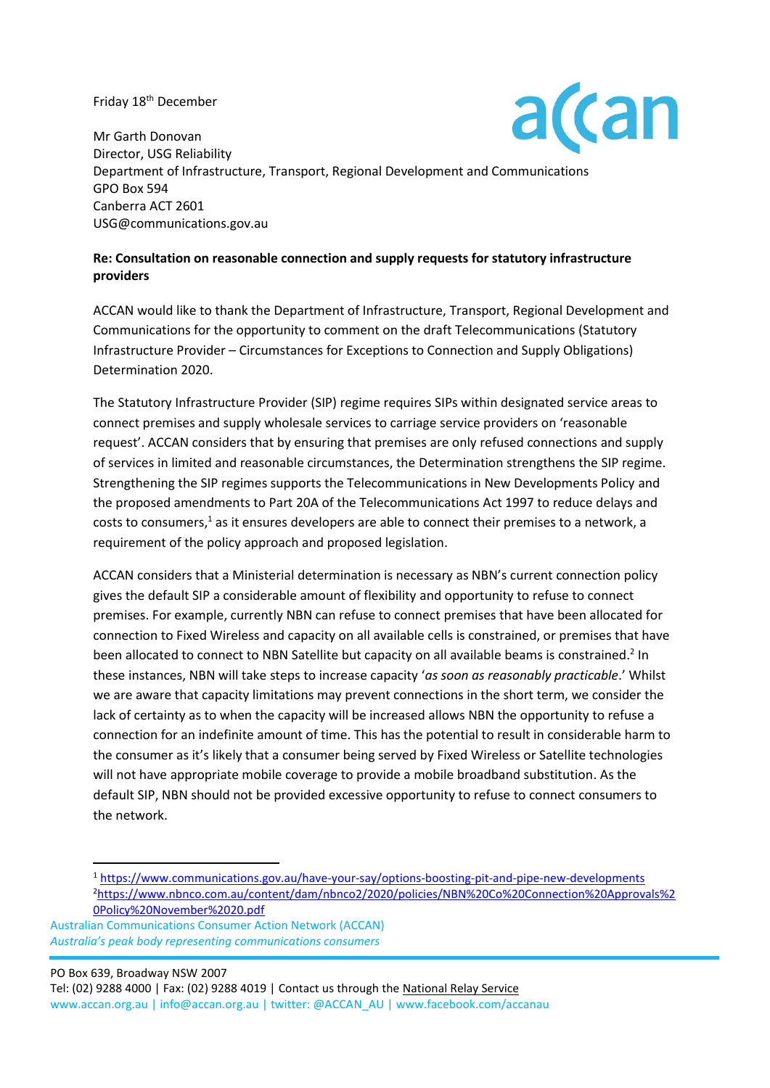#### Friday 18<sup>th</sup> December



Mr Garth Donovan Director, USG Reliability Department of Infrastructure, Transport, Regional Development and Communications GPO Box 594 Canberra ACT 2601 [USG@communications.gov.au](mailto:USG@communications.gov.au)

#### **Re: Consultation on reasonable connection and supply requests for statutory infrastructure providers**

ACCAN would like to thank the Department of Infrastructure, Transport, Regional Development and Communications for the opportunity to comment on the draft Telecommunications (Statutory Infrastructure Provider – Circumstances for Exceptions to Connection and Supply Obligations) Determination 2020.

The Statutory Infrastructure Provider (SIP) regime requires SIPs within designated service areas to connect premises and supply wholesale services to carriage service providers on 'reasonable request'. ACCAN considers that by ensuring that premises are only refused connections and supply of services in limited and reasonable circumstances, the Determination strengthens the SIP regime. Strengthening the SIP regimes supports the Telecommunications in New Developments Policy and the proposed amendments to Part 20A of the Telecommunications Act 1997 to reduce delays and costs to consumers,<sup>1</sup> as it ensures developers are able to connect their premises to a network, a requirement of the policy approach and proposed legislation.

ACCAN considers that a Ministerial determination is necessary as NBN's current connection policy gives the default SIP a considerable amount of flexibility and opportunity to refuse to connect premises. For example, currently NBN can refuse to connect premises that have been allocated for connection to Fixed Wireless and capacity on all available cells is constrained, or premises that have been allocated to connect to NBN Satellite but capacity on all available beams is constrained.<sup>2</sup> In these instances, NBN will take steps to increase capacity '*as soon as reasonably practicable*.' Whilst we are aware that capacity limitations may prevent connections in the short term, we consider the lack of certainty as to when the capacity will be increased allows NBN the opportunity to refuse a connection for an indefinite amount of time. This has the potential to result in considerable harm to the consumer as it's likely that a consumer being served by Fixed Wireless or Satellite technologies will not have appropriate mobile coverage to provide a mobile broadband substitution. As the default SIP, NBN should not be provided excessive opportunity to refuse to connect consumers to the network.

 PO Box 639, Broadway NSW 2007 Tel: (02) 9288 4000 | Fax: (02) 9288 4019 | Contact us through th[e National Relay Service](http://relayservice.gov.au/) www.accan.org.au | info@accan.org.au | twitter: @ACCAN\_AU | www.facebook.com/accanau

<sup>1</sup> <https://www.communications.gov.au/have-your-say/options-boosting-pit-and-pipe-new-developments> <sup>2</sup>[https://www.nbnco.com.au/content/dam/nbnco2/2020/policies/NBN%20Co%20Connection%20Approvals%2](https://www.nbnco.com.au/content/dam/nbnco2/2020/policies/NBN%20Co%20Connection%20Approvals%20Policy%20November%2020.pdf) [0Policy%20November%2020.pdf](https://www.nbnco.com.au/content/dam/nbnco2/2020/policies/NBN%20Co%20Connection%20Approvals%20Policy%20November%2020.pdf)

Australian Communications Consumer Action Network (ACCAN)  *Australia's peak body representing communications consumers*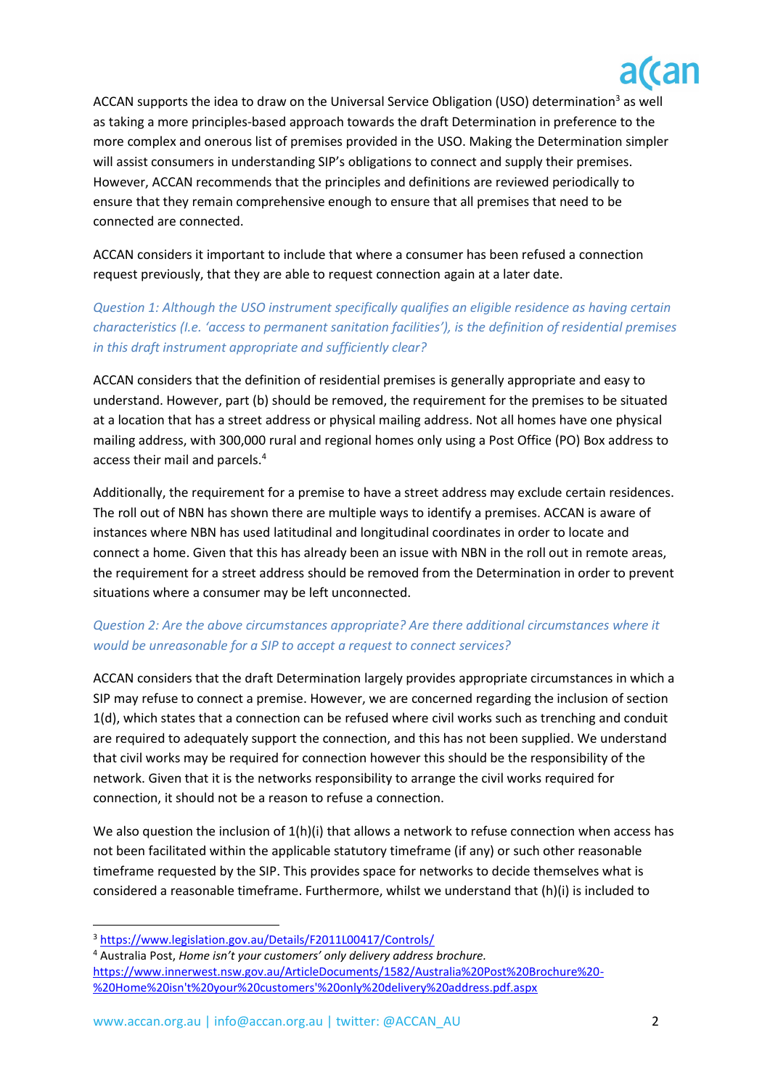

ACCAN supports the idea to draw on the Universal Service Obligation (USO) determination<sup>3</sup> as well as taking a more principles-based approach towards the draft Determination in preference to the more complex and onerous list of premises provided in the USO. Making the Determination simpler will assist consumers in understanding SIP's obligations to connect and supply their premises. However, ACCAN recommends that the principles and definitions are reviewed periodically to ensure that they remain comprehensive enough to ensure that all premises that need to be connected are connected.

ACCAN considers it important to include that where a consumer has been refused a connection request previously, that they are able to request connection again at a later date.

# *Question 1: Although the USO instrument specifically qualifies an eligible residence as having certain characteristics (I.e. 'access to permanent sanitation facilities'), is the definition of residential premises in this draft instrument appropriate and sufficiently clear?*

ACCAN considers that the definition of residential premises is generally appropriate and easy to understand. However, part (b) should be removed, the requirement for the premises to be situated at a location that has a street address or physical mailing address. Not all homes have one physical mailing address, with 300,000 rural and regional homes only using a Post Office (PO) Box address to access their mail and parcels. 4

Additionally, the requirement for a premise to have a street address may exclude certain residences. The roll out of NBN has shown there are multiple ways to identify a premises. ACCAN is aware of instances where NBN has used latitudinal and longitudinal coordinates in order to locate and connect a home. Given that this has already been an issue with NBN in the roll out in remote areas, the requirement for a street address should be removed from the Determination in order to prevent situations where a consumer may be left unconnected.

# *Question 2: Are the above circumstances appropriate? Are there additional circumstances where it would be unreasonable for a SIP to accept a request to connect services?*

ACCAN considers that the draft Determination largely provides appropriate circumstances in which a SIP may refuse to connect a premise. However, we are concerned regarding the inclusion of section 1(d), which states that a connection can be refused where civil works such as trenching and conduit are required to adequately support the connection, and this has not been supplied. We understand that civil works may be required for connection however this should be the responsibility of the network. Given that it is the networks responsibility to arrange the civil works required for connection, it should not be a reason to refuse a connection.

We also question the inclusion of  $1(h)(i)$  that allows a network to refuse connection when access has not been facilitated within the applicable statutory timeframe (if any) or such other reasonable timeframe requested by the SIP. This provides space for networks to decide themselves what is considered a reasonable timeframe. Furthermore, whilst we understand that (h)(i) is included to

<sup>3</sup> <https://www.legislation.gov.au/Details/F2011L00417/Controls/>

<sup>4</sup> Australia Post, *Home isn't your customers' only delivery address brochure.*  [https://www.innerwest.nsw.gov.au/ArticleDocuments/1582/Australia%20Post%20Brochure%20-](https://www.innerwest.nsw.gov.au/ArticleDocuments/1582/Australia%20Post%20Brochure%20-%20Home%20isn) [%20Home%20isn't%20your%20customers'%20only%20delivery%20address.pdf.aspx](https://www.innerwest.nsw.gov.au/ArticleDocuments/1582/Australia%20Post%20Brochure%20-%20Home%20isn)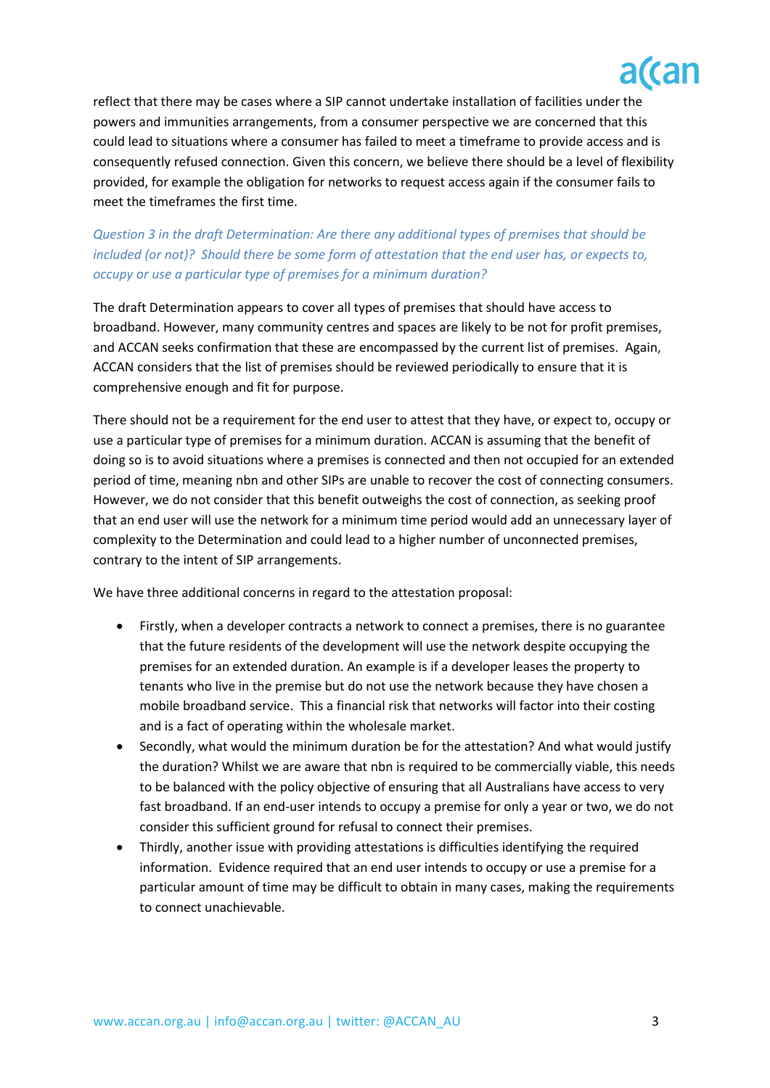

reflect that there may be cases where a SIP cannot undertake installation of facilities under the powers and immunities arrangements, from a consumer perspective we are concerned that this could lead to situations where a consumer has failed to meet a timeframe to provide access and is consequently refused connection. Given this concern, we believe there should be a level of flexibility provided, for example the obligation for networks to request access again if the consumer fails to meet the timeframes the first time.

### *Question 3 in the draft Determination: Are there any additional types of premises that should be included (or not)? Should there be some form of attestation that the end user has, or expects to, occupy or use a particular type of premises for a minimum duration?*

The draft Determination appears to cover all types of premises that should have access to broadband. However, many community centres and spaces are likely to be not for profit premises, and ACCAN seeks confirmation that these are encompassed by the current list of premises. Again, ACCAN considers that the list of premises should be reviewed periodically to ensure that it is comprehensive enough and fit for purpose.

There should not be a requirement for the end user to attest that they have, or expect to, occupy or use a particular type of premises for a minimum duration. ACCAN is assuming that the benefit of doing so is to avoid situations where a premises is connected and then not occupied for an extended period of time, meaning nbn and other SIPs are unable to recover the cost of connecting consumers. However, we do not consider that this benefit outweighs the cost of connection, as seeking proof that an end user will use the network for a minimum time period would add an unnecessary layer of complexity to the Determination and could lead to a higher number of unconnected premises, contrary to the intent of SIP arrangements.

We have three additional concerns in regard to the attestation proposal:

- Firstly, when a developer contracts a network to connect a premises, there is no guarantee that the future residents of the development will use the network despite occupying the premises for an extended duration. An example is if a developer leases the property to tenants who live in the premise but do not use the network because they have chosen a mobile broadband service. This a financial risk that networks will factor into their costing and is a fact of operating within the wholesale market.
- Secondly, what would the minimum duration be for the attestation? And what would justify the duration? Whilst we are aware that nbn is required to be commercially viable, this needs to be balanced with the policy objective of ensuring that all Australians have access to very fast broadband. If an end-user intends to occupy a premise for only a year or two, we do not consider this sufficient ground for refusal to connect their premises.
- Thirdly, another issue with providing attestations is difficulties identifying the required information. Evidence required that an end user intends to occupy or use a premise for a particular amount of time may be difficult to obtain in many cases, making the requirements to connect unachievable.